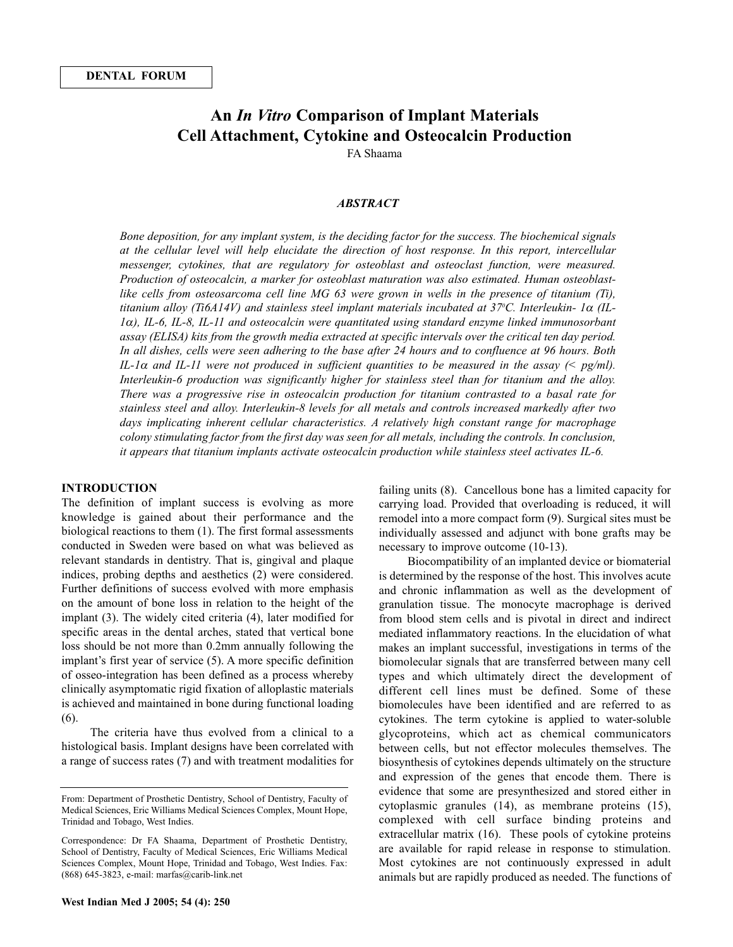# **An** *In Vitro* **Comparison of Implant Materials Cell Attachment, Cytokine and Osteocalcin Production**

FA Shaama

# *ABSTRACT*

*Bone deposition, for any implant system, is the deciding factor for the success. The biochemical signals at the cellular level will help elucidate the direction of host response. In this report, intercellular messenger, cytokines, that are regulatory for osteoblast and osteoclast function, were measured. Production of osteocalcin, a marker for osteoblast maturation was also estimated. Human osteoblastlike cells from osteosarcoma cell line MG 63 were grown in wells in the presence of titanium (Ti), titanium alloy (Ti6A14V) and stainless steel implant materials incubated at 370 C. Interleukin- 1*<sup>α</sup> *(IL-1*α*), IL-6, IL-8, IL-11 and osteocalcin were quantitated using standard enzyme linked immunosorbant assay (ELISA) kits from the growth media extracted at specific intervals over the critical ten day period. In all dishes, cells were seen adhering to the base after 24 hours and to confluence at 96 hours. Both IL-1*<sup>α</sup> *and IL-11 were not produced in sufficient quantities to be measured in the assay (< pg/ml). Interleukin-6 production was significantly higher for stainless steel than for titanium and the alloy. There was a progressive rise in osteocalcin production for titanium contrasted to a basal rate for stainless steel and alloy. Interleukin-8 levels for all metals and controls increased markedly after two days implicating inherent cellular characteristics. A relatively high constant range for macrophage colony stimulating factor from the first day was seen for all metals, including the controls. In conclusion, it appears that titanium implants activate osteocalcin production while stainless steel activates IL-6.*

#### **INTRODUCTION**

The definition of implant success is evolving as more knowledge is gained about their performance and the biological reactions to them (1). The first formal assessments conducted in Sweden were based on what was believed as relevant standards in dentistry. That is, gingival and plaque indices, probing depths and aesthetics (2) were considered. Further definitions of success evolved with more emphasis on the amount of bone loss in relation to the height of the implant (3). The widely cited criteria (4), later modified for specific areas in the dental arches, stated that vertical bone loss should be not more than 0.2mm annually following the implant's first year of service (5). A more specific definition of osseo-integration has been defined as a process whereby clinically asymptomatic rigid fixation of alloplastic materials is achieved and maintained in bone during functional loading (6).

The criteria have thus evolved from a clinical to a histological basis. Implant designs have been correlated with a range of success rates (7) and with treatment modalities for failing units (8). Cancellous bone has a limited capacity for carrying load. Provided that overloading is reduced, it will remodel into a more compact form (9). Surgical sites must be individually assessed and adjunct with bone grafts may be necessary to improve outcome (10-13).

Biocompatibility of an implanted device or biomaterial is determined by the response of the host. This involves acute and chronic inflammation as well as the development of granulation tissue. The monocyte macrophage is derived from blood stem cells and is pivotal in direct and indirect mediated inflammatory reactions. In the elucidation of what makes an implant successful, investigations in terms of the biomolecular signals that are transferred between many cell types and which ultimately direct the development of different cell lines must be defined. Some of these biomolecules have been identified and are referred to as cytokines. The term cytokine is applied to water-soluble glycoproteins, which act as chemical communicators between cells, but not effector molecules themselves. The biosynthesis of cytokines depends ultimately on the structure and expression of the genes that encode them. There is evidence that some are presynthesized and stored either in cytoplasmic granules (14), as membrane proteins (15), complexed with cell surface binding proteins and extracellular matrix (16). These pools of cytokine proteins are available for rapid release in response to stimulation. Most cytokines are not continuously expressed in adult animals but are rapidly produced as needed. The functions of

From: Department of Prosthetic Dentistry, School of Dentistry, Faculty of Medical Sciences, Eric Williams Medical Sciences Complex, Mount Hope, Trinidad and Tobago, West Indies.

Correspondence: Dr FA Shaama, Department of Prosthetic Dentistry, School of Dentistry, Faculty of Medical Sciences, Eric Williams Medical Sciences Complex, Mount Hope, Trinidad and Tobago, West Indies. Fax: (868) 645-3823, e-mail: marfas@carib-link.net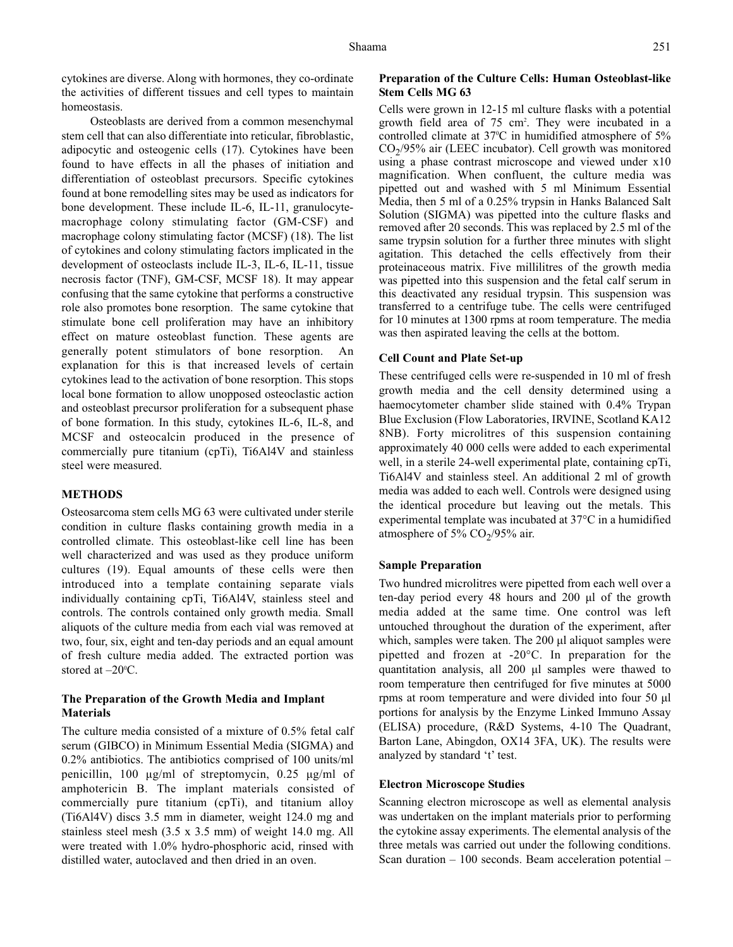cytokines are diverse. Along with hormones, they co-ordinate the activities of different tissues and cell types to maintain homeostasis.

Osteoblasts are derived from a common mesenchymal stem cell that can also differentiate into reticular, fibroblastic, adipocytic and osteogenic cells (17). Cytokines have been found to have effects in all the phases of initiation and differentiation of osteoblast precursors. Specific cytokines found at bone remodelling sites may be used as indicators for bone development. These include IL-6, IL-11, granulocytemacrophage colony stimulating factor (GM-CSF) and macrophage colony stimulating factor (MCSF) (18). The list of cytokines and colony stimulating factors implicated in the development of osteoclasts include IL-3, IL-6, IL-11, tissue necrosis factor (TNF), GM-CSF, MCSF 18). It may appear confusing that the same cytokine that performs a constructive role also promotes bone resorption. The same cytokine that stimulate bone cell proliferation may have an inhibitory effect on mature osteoblast function. These agents are generally potent stimulators of bone resorption. An explanation for this is that increased levels of certain cytokines lead to the activation of bone resorption. This stops local bone formation to allow unopposed osteoclastic action and osteoblast precursor proliferation for a subsequent phase of bone formation. In this study, cytokines IL-6, IL-8, and MCSF and osteocalcin produced in the presence of commercially pure titanium (cpTi), Ti6Al4V and stainless steel were measured.

# **METHODS**

Osteosarcoma stem cells MG 63 were cultivated under sterile condition in culture flasks containing growth media in a controlled climate. This osteoblast-like cell line has been well characterized and was used as they produce uniform cultures (19). Equal amounts of these cells were then introduced into a template containing separate vials individually containing cpTi, Ti6Al4V, stainless steel and controls. The controls contained only growth media. Small aliquots of the culture media from each vial was removed at two, four, six, eight and ten-day periods and an equal amount of fresh culture media added. The extracted portion was stored at  $-20^{\circ}$ C.

# **The Preparation of the Growth Media and Implant Materials**

The culture media consisted of a mixture of 0.5% fetal calf serum (GIBCO) in Minimum Essential Media (SIGMA) and 0.2% antibiotics. The antibiotics comprised of 100 units/ml penicillin, 100 µg/ml of streptomycin, 0.25 µg/ml of amphotericin B. The implant materials consisted of commercially pure titanium (cpTi), and titanium alloy (Ti6Al4V) discs 3.5 mm in diameter, weight 124.0 mg and stainless steel mesh (3.5 x 3.5 mm) of weight 14.0 mg. All were treated with 1.0% hydro-phosphoric acid, rinsed with distilled water, autoclaved and then dried in an oven.

#### **Preparation of the Culture Cells: Human Osteoblast-like Stem Cells MG 63**

Cells were grown in 12-15 ml culture flasks with a potential growth field area of 75 cm2 . They were incubated in a controlled climate at 37°C in humidified atmosphere of 5%  $CO<sub>2</sub>/95%$  air (LEEC incubator). Cell growth was monitored using a phase contrast microscope and viewed under x10 magnification. When confluent, the culture media was pipetted out and washed with 5 ml Minimum Essential Media, then 5 ml of a 0.25% trypsin in Hanks Balanced Salt Solution (SIGMA) was pipetted into the culture flasks and removed after 20 seconds. This was replaced by 2.5 ml of the same trypsin solution for a further three minutes with slight agitation. This detached the cells effectively from their proteinaceous matrix. Five millilitres of the growth media was pipetted into this suspension and the fetal calf serum in this deactivated any residual trypsin. This suspension was transferred to a centrifuge tube. The cells were centrifuged for 10 minutes at 1300 rpms at room temperature. The media was then aspirated leaving the cells at the bottom.

#### **Cell Count and Plate Set-up**

These centrifuged cells were re-suspended in 10 ml of fresh growth media and the cell density determined using a haemocytometer chamber slide stained with 0.4% Trypan Blue Exclusion (Flow Laboratories, IRVINE, Scotland KA12 8NB). Forty microlitres of this suspension containing approximately 40 000 cells were added to each experimental well, in a sterile 24-well experimental plate, containing cpTi, Ti6Al4V and stainless steel. An additional 2 ml of growth media was added to each well. Controls were designed using the identical procedure but leaving out the metals. This experimental template was incubated at 37°C in a humidified atmosphere of 5%  $CO<sub>2</sub>/95%$  air.

#### **Sample Preparation**

Two hundred microlitres were pipetted from each well over a ten-day period every 48 hours and 200 µl of the growth media added at the same time. One control was left untouched throughout the duration of the experiment, after which, samples were taken. The 200 µl aliquot samples were pipetted and frozen at -20°C. In preparation for the quantitation analysis, all 200 µl samples were thawed to room temperature then centrifuged for five minutes at 5000 rpms at room temperature and were divided into four 50 µl portions for analysis by the Enzyme Linked Immuno Assay (ELISA) procedure, (R&D Systems, 4-10 The Quadrant, Barton Lane, Abingdon, OX14 3FA, UK). The results were analyzed by standard 't' test.

#### **Electron Microscope Studies**

Scanning electron microscope as well as elemental analysis was undertaken on the implant materials prior to performing the cytokine assay experiments. The elemental analysis of the three metals was carried out under the following conditions. Scan duration – 100 seconds. Beam acceleration potential –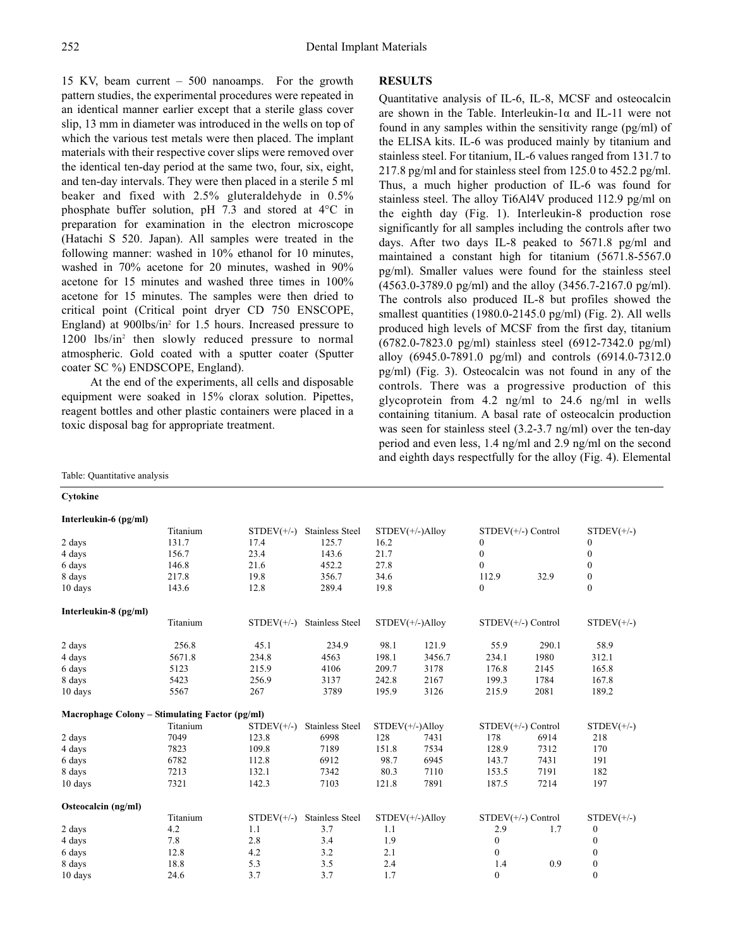15 KV, beam current – 500 nanoamps. For the growth pattern studies, the experimental procedures were repeated in an identical manner earlier except that a sterile glass cover slip, 13 mm in diameter was introduced in the wells on top of which the various test metals were then placed. The implant materials with their respective cover slips were removed over the identical ten-day period at the same two, four, six, eight, and ten-day intervals. They were then placed in a sterile 5 ml beaker and fixed with 2.5% gluteraldehyde in 0.5% phosphate buffer solution, pH 7.3 and stored at 4°C in preparation for examination in the electron microscope (Hatachi S 520. Japan). All samples were treated in the following manner: washed in 10% ethanol for 10 minutes, washed in 70% acetone for 20 minutes, washed in 90% acetone for 15 minutes and washed three times in 100% acetone for 15 minutes. The samples were then dried to critical point (Critical point dryer CD 750 ENSCOPE, England) at 900lbs/in<sup>2</sup> for 1.5 hours. Increased pressure to 1200 lbs/in2 then slowly reduced pressure to normal atmospheric. Gold coated with a sputter coater (Sputter coater SC %) ENDSCOPE, England).

At the end of the experiments, all cells and disposable equipment were soaked in 15% clorax solution. Pipettes, reagent bottles and other plastic containers were placed in a toxic disposal bag for appropriate treatment.

#### **RESULTS**

Quantitative analysis of IL-6, IL-8, MCSF and osteocalcin are shown in the Table. Interleukin-1 $\alpha$  and IL-11 were not found in any samples within the sensitivity range (pg/ml) of the ELISA kits. IL-6 was produced mainly by titanium and stainless steel. For titanium, IL-6 values ranged from 131.7 to 217.8 pg/ml and for stainless steel from 125.0 to 452.2 pg/ml. Thus, a much higher production of IL-6 was found for stainless steel. The alloy Ti6Al4V produced 112.9 pg/ml on the eighth day (Fig. 1). Interleukin-8 production rose significantly for all samples including the controls after two days. After two days IL-8 peaked to 5671.8 pg/ml and maintained a constant high for titanium (5671.8-5567.0 pg/ml). Smaller values were found for the stainless steel (4563.0-3789.0 pg/ml) and the alloy (3456.7-2167.0 pg/ml). The controls also produced IL-8 but profiles showed the smallest quantities (1980.0-2145.0 pg/ml) (Fig. 2). All wells produced high levels of MCSF from the first day, titanium (6782.0-7823.0 pg/ml) stainless steel (6912-7342.0 pg/ml) alloy (6945.0-7891.0 pg/ml) and controls (6914.0-7312.0 pg/ml) (Fig. 3). Osteocalcin was not found in any of the controls. There was a progressive production of this glycoprotein from 4.2 ng/ml to 24.6 ng/ml in wells containing titanium. A basal rate of osteocalcin production was seen for stainless steel (3.2-3.7 ng/ml) over the ten-day period and even less, 1.4 ng/ml and 2.9 ng/ml on the second and eighth days respectfully for the alloy (Fig. 4). Elemental

|                       | Titanium                                       | $STDEV(+/-)$ | <b>Stainless Steel</b> | $STDEV(+/-)$ Alloy |        | $STDEV(+/-)$ Control |       | $STDEV(+/-)$ |
|-----------------------|------------------------------------------------|--------------|------------------------|--------------------|--------|----------------------|-------|--------------|
| 2 days                | 131.7                                          | 17.4         | 125.7                  | 16.2               |        | $\bf{0}$             |       | $\bf{0}$     |
| 4 days                | 156.7                                          | 23.4         | 143.6                  | 21.7               |        | $\bf{0}$             |       | $\theta$     |
| 6 days                | 146.8                                          | 21.6         | 452.2                  | 27.8               |        | $\mathbf{0}$         |       | $\mathbf{0}$ |
| 8 days                | 217.8                                          | 19.8         | 356.7                  | 34.6               |        | 112.9                | 32.9  | $\mathbf{0}$ |
| 10 days               | 143.6                                          | 12.8         | 289.4                  | 19.8               |        | $\mathbf{0}$         |       | $\mathbf{0}$ |
| Interleukin-8 (pg/ml) |                                                |              |                        |                    |        |                      |       |              |
|                       | Titanium                                       | $STDEV(+/-)$ | <b>Stainless Steel</b> | $STDEV(+/-)$ Alloy |        | $STDEV(+/-)$ Control |       | $STDEV(+/-)$ |
| 2 days                | 256.8                                          | 45.1         | 234.9                  | 98.1               | 121.9  | 55.9                 | 290.1 | 58.9         |
| 4 days                | 5671.8                                         | 234.8        | 4563                   | 198.1              | 3456.7 | 234.1                | 1980  | 312.1        |
| 6 days                | 5123                                           | 215.9        | 4106                   | 209.7              | 3178   | 176.8                | 2145  | 165.8        |
| 8 days                | 5423                                           | 256.9        | 3137                   | 242.8              | 2167   | 199.3                | 1784  | 167.8        |
| 10 days               | 5567                                           | 267          | 3789                   | 195.9              | 3126   | 215.9                | 2081  | 189.2        |
|                       | Macrophage Colony – Stimulating Factor (pg/ml) |              |                        |                    |        |                      |       |              |
|                       | Titanium                                       | $STDEV(+/-)$ | <b>Stainless Steel</b> | $STDEV(+/-)$ Alloy |        | $STDEV(+/-)$ Control |       | $STDEV(+/-)$ |
| 2 days                | 7049                                           | 123.8        | 6998                   | 128                | 7431   | 178                  | 6914  | 218          |
| 4 days                | 7823                                           | 109.8        | 7189                   | 151.8              | 7534   | 128.9                | 7312  | 170          |
| 6 days                | 6782                                           | 112.8        | 6912                   | 98.7               | 6945   | 143.7                | 7431  | 191          |
| 8 days                | 7213                                           | 132.1        | 7342                   | 80.3               | 7110   | 153.5                | 7191  | 182          |
| 10 days               | 7321                                           | 142.3        | 7103                   | 121.8              | 7891   | 187.5                | 7214  | 197          |
| Osteocalcin (ng/ml)   |                                                |              |                        |                    |        |                      |       |              |
|                       | Titanium                                       | $STDEV(+/-)$ | <b>Stainless Steel</b> | $STDEV(+/-)$ Alloy |        | $STDEV(+/-)$ Control |       | $STDEV(+/-)$ |

2 days 4.2 1.1 3.7 1.1 2.9 1.7 0 4 days 2.8 2.8 3.4 1.9 0 0 6 days 12.8 4.2 3.2 2.1 0 0 8 days 18.8 5.3 3.5 2.4 1.4 0.9 0 10 days 24.6 3.7 3.7 1.7 0 0 0

Table: Quantitative analysis

# **Cytokine**

**Interleukin-6 (pg/ml)**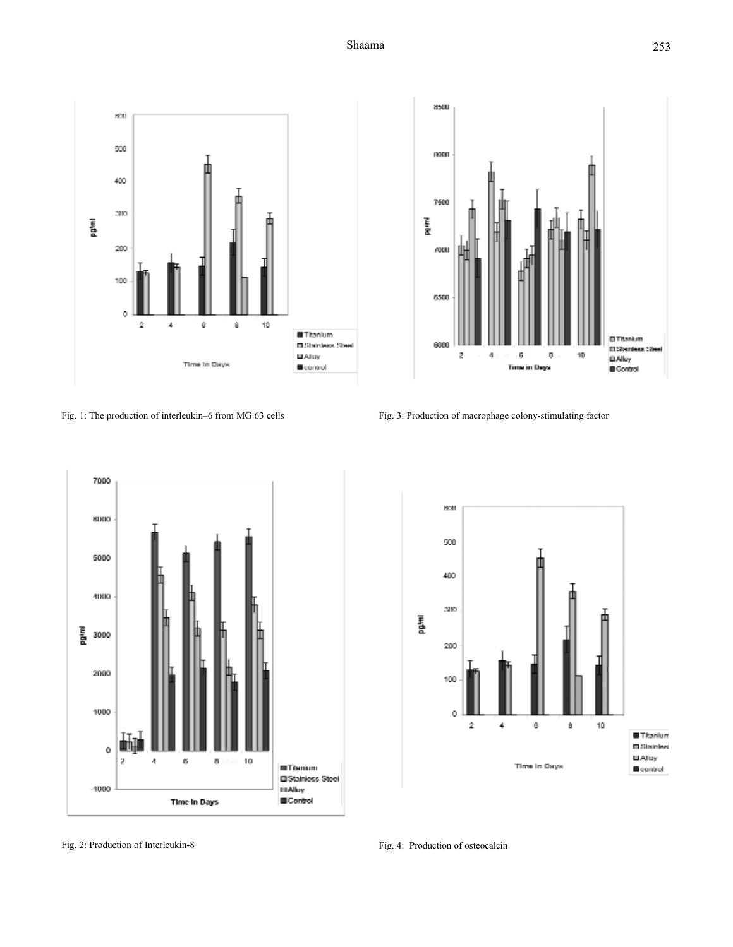Shaama





Fig. 2: Production of Interleukin-8

Fig. 1: The production of interleukin–6 from MG 63 cells Fig. 3: Production of macrophage colony-stimulating factor



Fig. 4: Production of osteocalcin

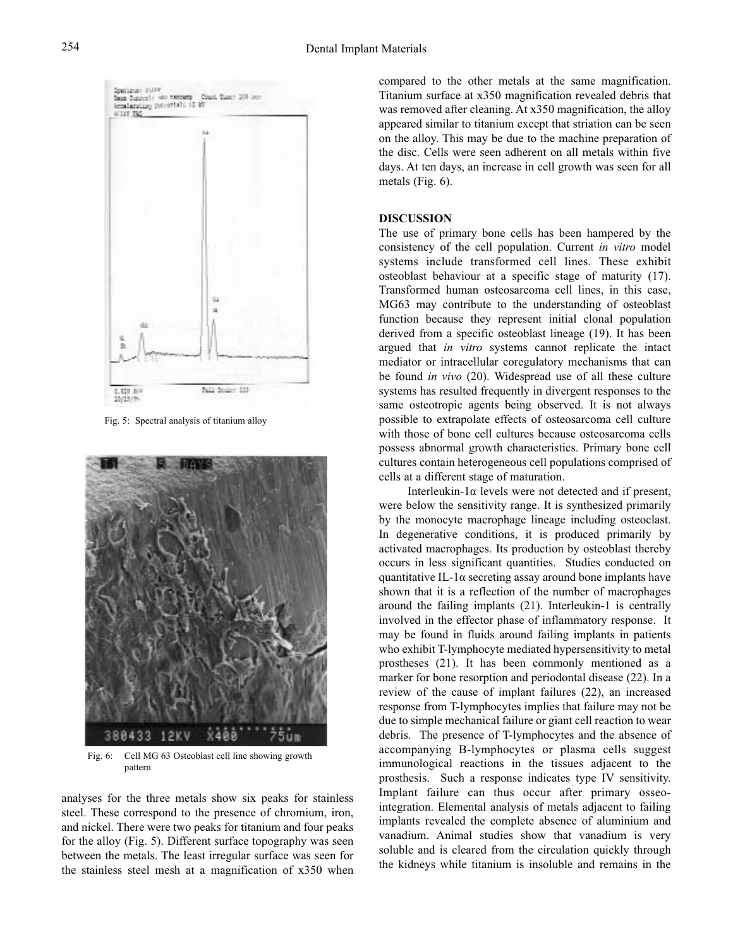

Fig. 5: Spectral analysis of titanium alloy



Fig. 6: Cell MG 63 Osteoblast cell line showing growth pattern

analyses for the three metals show six peaks for stainless steel. These correspond to the presence of chromium, iron, and nickel. There were two peaks for titanium and four peaks for the alloy (Fig. 5). Different surface topography was seen between the metals. The least irregular surface was seen for the stainless steel mesh at a magnification of x350 when

compared to the other metals at the same magnification. Titanium surface at x350 magnification revealed debris that was removed after cleaning. At x350 magnification, the alloy appeared similar to titanium except that striation can be seen on the alloy. This may be due to the machine preparation of the disc. Cells were seen adherent on all metals within five days. At ten days, an increase in cell growth was seen for all metals (Fig. 6).

#### **DISCUSSION**

The use of primary bone cells has been hampered by the consistency of the cell population. Current *in vitro* model systems include transformed cell lines. These exhibit osteoblast behaviour at a specific stage of maturity (17). Transformed human osteosarcoma cell lines, in this case, MG63 may contribute to the understanding of osteoblast function because they represent initial clonal population derived from a specific osteoblast lineage (19). It has been argued that *in vitro* systems cannot replicate the intact mediator or intracellular coregulatory mechanisms that can be found *in vivo* (20). Widespread use of all these culture systems has resulted frequently in divergent responses to the same osteotropic agents being observed. It is not always possible to extrapolate effects of osteosarcoma cell culture with those of bone cell cultures because osteosarcoma cells possess abnormal growth characteristics. Primary bone cell cultures contain heterogeneous cell populations comprised of cells at a different stage of maturation.

Interleukin-1α levels were not detected and if present, were below the sensitivity range. It is synthesized primarily by the monocyte macrophage lineage including osteoclast. In degenerative conditions, it is produced primarily by activated macrophages. Its production by osteoblast thereby occurs in less significant quantities. Studies conducted on quantitative IL-1 $\alpha$  secreting assay around bone implants have shown that it is a reflection of the number of macrophages around the failing implants (21). Interleukin-1 is centrally involved in the effector phase of inflammatory response. It may be found in fluids around failing implants in patients who exhibit T-lymphocyte mediated hypersensitivity to metal prostheses (21). It has been commonly mentioned as a marker for bone resorption and periodontal disease (22). In a review of the cause of implant failures (22), an increased response from T-lymphocytes implies that failure may not be due to simple mechanical failure or giant cell reaction to wear debris. The presence of T-lymphocytes and the absence of accompanying B-lymphocytes or plasma cells suggest immunological reactions in the tissues adjacent to the prosthesis. Such a response indicates type IV sensitivity. Implant failure can thus occur after primary osseointegration. Elemental analysis of metals adjacent to failing implants revealed the complete absence of aluminium and vanadium. Animal studies show that vanadium is very soluble and is cleared from the circulation quickly through the kidneys while titanium is insoluble and remains in the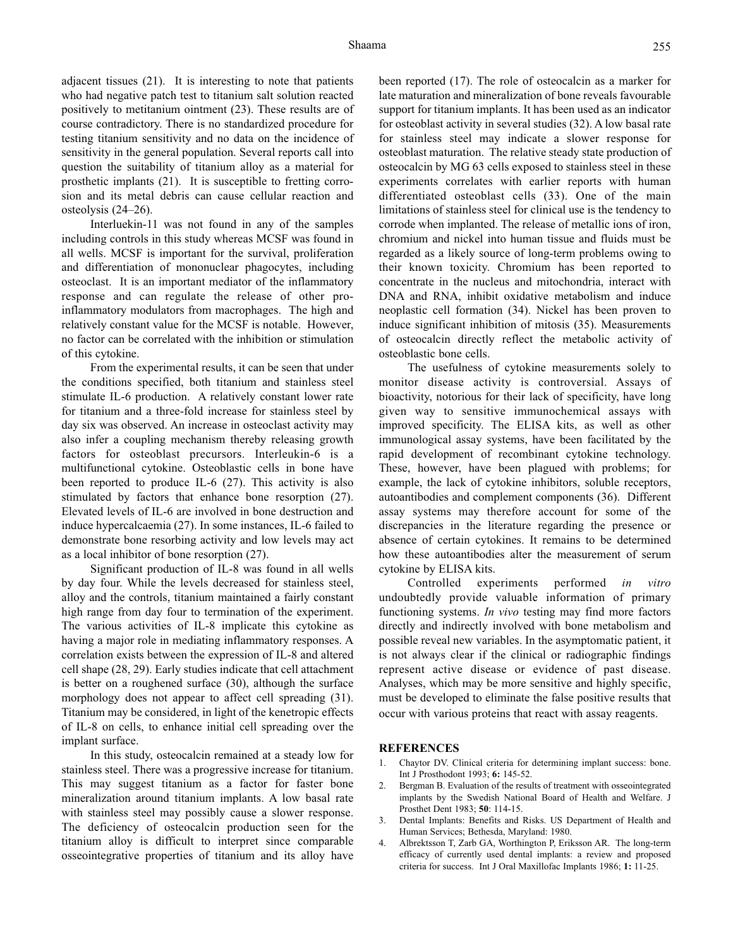adjacent tissues (21). It is interesting to note that patients who had negative patch test to titanium salt solution reacted positively to metitanium ointment (23). These results are of course contradictory. There is no standardized procedure for testing titanium sensitivity and no data on the incidence of sensitivity in the general population. Several reports call into question the suitability of titanium alloy as a material for prosthetic implants (21). It is susceptible to fretting corrosion and its metal debris can cause cellular reaction and osteolysis (24–26).

Interluekin-11 was not found in any of the samples including controls in this study whereas MCSF was found in all wells. MCSF is important for the survival, proliferation and differentiation of mononuclear phagocytes, including osteoclast. It is an important mediator of the inflammatory response and can regulate the release of other proinflammatory modulators from macrophages. The high and relatively constant value for the MCSF is notable. However, no factor can be correlated with the inhibition or stimulation of this cytokine.

From the experimental results, it can be seen that under the conditions specified, both titanium and stainless steel stimulate IL-6 production. A relatively constant lower rate for titanium and a three-fold increase for stainless steel by day six was observed. An increase in osteoclast activity may also infer a coupling mechanism thereby releasing growth factors for osteoblast precursors. Interleukin-6 is a multifunctional cytokine. Osteoblastic cells in bone have been reported to produce IL-6 (27). This activity is also stimulated by factors that enhance bone resorption (27). Elevated levels of IL-6 are involved in bone destruction and induce hypercalcaemia (27). In some instances, IL-6 failed to demonstrate bone resorbing activity and low levels may act as a local inhibitor of bone resorption (27).

Significant production of IL-8 was found in all wells by day four. While the levels decreased for stainless steel, alloy and the controls, titanium maintained a fairly constant high range from day four to termination of the experiment. The various activities of IL-8 implicate this cytokine as having a major role in mediating inflammatory responses. A correlation exists between the expression of IL-8 and altered cell shape (28, 29). Early studies indicate that cell attachment is better on a roughened surface (30), although the surface morphology does not appear to affect cell spreading (31). Titanium may be considered, in light of the kenetropic effects of IL-8 on cells, to enhance initial cell spreading over the implant surface.

In this study, osteocalcin remained at a steady low for stainless steel. There was a progressive increase for titanium. This may suggest titanium as a factor for faster bone mineralization around titanium implants. A low basal rate with stainless steel may possibly cause a slower response. The deficiency of osteocalcin production seen for the titanium alloy is difficult to interpret since comparable osseointegrative properties of titanium and its alloy have

been reported (17). The role of osteocalcin as a marker for late maturation and mineralization of bone reveals favourable support for titanium implants. It has been used as an indicator for osteoblast activity in several studies (32). A low basal rate for stainless steel may indicate a slower response for osteoblast maturation. The relative steady state production of osteocalcin by MG 63 cells exposed to stainless steel in these experiments correlates with earlier reports with human differentiated osteoblast cells (33). One of the main limitations of stainless steel for clinical use is the tendency to corrode when implanted. The release of metallic ions of iron, chromium and nickel into human tissue and fluids must be regarded as a likely source of long-term problems owing to their known toxicity. Chromium has been reported to concentrate in the nucleus and mitochondria, interact with DNA and RNA, inhibit oxidative metabolism and induce neoplastic cell formation (34). Nickel has been proven to induce significant inhibition of mitosis (35). Measurements of osteocalcin directly reflect the metabolic activity of osteoblastic bone cells.

The usefulness of cytokine measurements solely to monitor disease activity is controversial. Assays of bioactivity, notorious for their lack of specificity, have long given way to sensitive immunochemical assays with improved specificity. The ELISA kits, as well as other immunological assay systems, have been facilitated by the rapid development of recombinant cytokine technology. These, however, have been plagued with problems; for example, the lack of cytokine inhibitors, soluble receptors, autoantibodies and complement components (36). Different assay systems may therefore account for some of the discrepancies in the literature regarding the presence or absence of certain cytokines. It remains to be determined how these autoantibodies alter the measurement of serum cytokine by ELISA kits.

Controlled experiments performed *in vitro* undoubtedly provide valuable information of primary functioning systems. *In vivo* testing may find more factors directly and indirectly involved with bone metabolism and possible reveal new variables. In the asymptomatic patient, it is not always clear if the clinical or radiographic findings represent active disease or evidence of past disease. Analyses, which may be more sensitive and highly specific, must be developed to eliminate the false positive results that occur with various proteins that react with assay reagents.

#### **REFERENCES**

- 1. Chaytor DV. Clinical criteria for determining implant success: bone. Int J Prosthodont 1993; **6:** 145-52.
- 2. Bergman B. Evaluation of the results of treatment with osseointegrated implants by the Swedish National Board of Health and Welfare. J Prosthet Dent 1983; **50**: 114-15.
- 3. Dental Implants: Benefits and Risks. US Department of Health and Human Services; Bethesda, Maryland: 1980.
- 4. Albrektsson T, Zarb GA, Worthington P, Eriksson AR. The long-term efficacy of currently used dental implants: a review and proposed criteria for success. Int J Oral Maxillofac Implants 1986; **1:** 11-25.